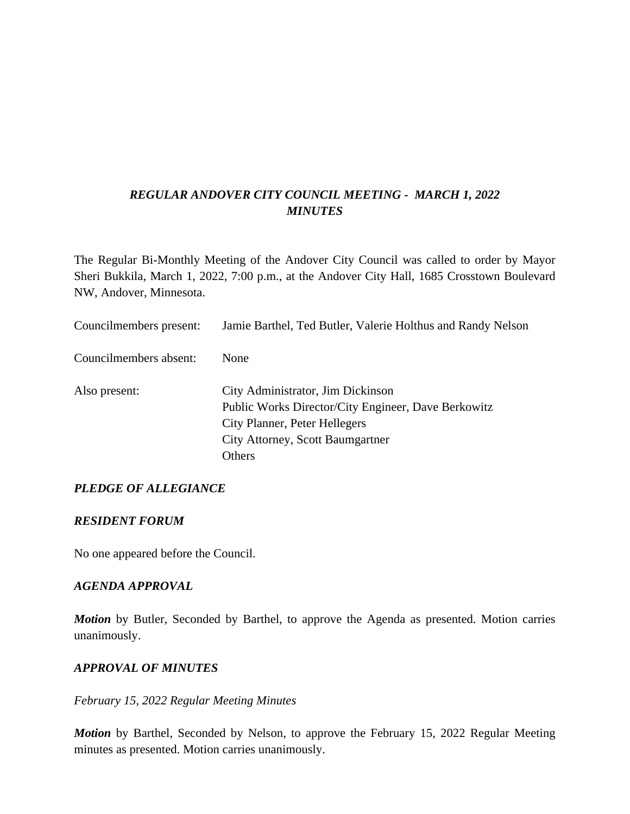### *REGULAR ANDOVER CITY COUNCIL MEETING - MARCH 1, 2022 MINUTES*

The Regular Bi-Monthly Meeting of the Andover City Council was called to order by Mayor Sheri Bukkila, March 1, 2022, 7:00 p.m., at the Andover City Hall, 1685 Crosstown Boulevard NW, Andover, Minnesota.

| Councilmembers present: | Jamie Barthel, Ted Butler, Valerie Holthus and Randy Nelson |
|-------------------------|-------------------------------------------------------------|
| Councilmembers absent:  | None                                                        |
| Also present:           | City Administrator, Jim Dickinson                           |
|                         | Public Works Director/City Engineer, Dave Berkowitz         |
|                         | <b>City Planner, Peter Hellegers</b>                        |
|                         | <b>City Attorney, Scott Baumgartner</b>                     |
|                         | Others                                                      |

### *PLEDGE OF ALLEGIANCE*

#### *RESIDENT FORUM*

No one appeared before the Council.

#### *AGENDA APPROVAL*

*Motion* by Butler, Seconded by Barthel, to approve the Agenda as presented. Motion carries unanimously.

#### *APPROVAL OF MINUTES*

#### *February 15, 2022 Regular Meeting Minutes*

*Motion* by Barthel, Seconded by Nelson, to approve the February 15, 2022 Regular Meeting minutes as presented. Motion carries unanimously.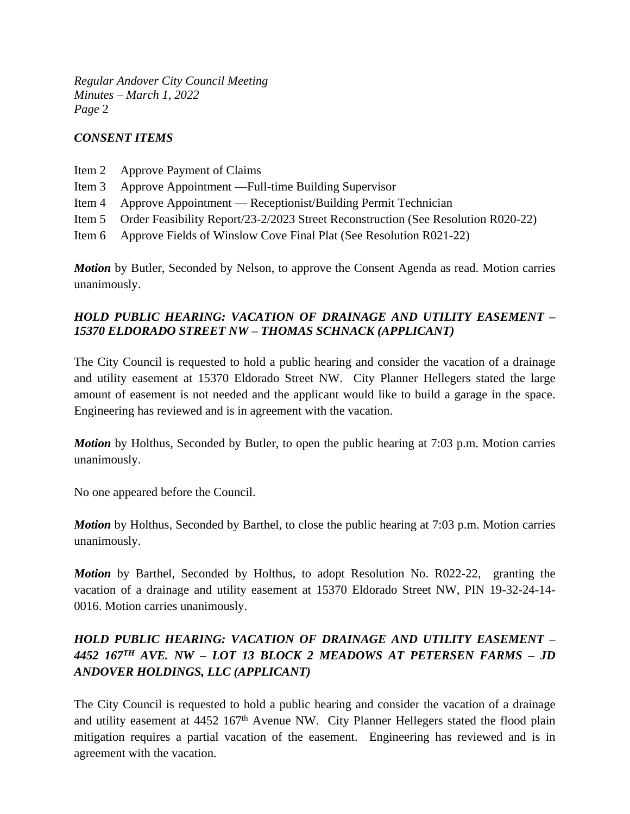### *CONSENT ITEMS*

- Item 2 Approve Payment of Claims
- Item 3 Approve Appointment —Full-time Building Supervisor
- Item 4 Approve Appointment Receptionist/Building Permit Technician
- Item 5 Order Feasibility Report/23-2/2023 Street Reconstruction (See Resolution R020-22)
- Item 6 Approve Fields of Winslow Cove Final Plat (See Resolution R021-22)

*Motion* by Butler, Seconded by Nelson, to approve the Consent Agenda as read. Motion carries unanimously.

### *HOLD PUBLIC HEARING: VACATION OF DRAINAGE AND UTILITY EASEMENT – 15370 ELDORADO STREET NW – THOMAS SCHNACK (APPLICANT)*

The City Council is requested to hold a public hearing and consider the vacation of a drainage and utility easement at 15370 Eldorado Street NW. City Planner Hellegers stated the large amount of easement is not needed and the applicant would like to build a garage in the space. Engineering has reviewed and is in agreement with the vacation.

*Motion* by Holthus, Seconded by Butler, to open the public hearing at 7:03 p.m. Motion carries unanimously.

No one appeared before the Council.

*Motion* by Holthus, Seconded by Barthel, to close the public hearing at 7:03 p.m. Motion carries unanimously.

*Motion* by Barthel, Seconded by Holthus, to adopt Resolution No. R022-22, granting the vacation of a drainage and utility easement at 15370 Eldorado Street NW, PIN 19-32-24-14- 0016. Motion carries unanimously.

# *HOLD PUBLIC HEARING: VACATION OF DRAINAGE AND UTILITY EASEMENT – 4452 167TH AVE. NW – LOT 13 BLOCK 2 MEADOWS AT PETERSEN FARMS – JD ANDOVER HOLDINGS, LLC (APPLICANT)*

The City Council is requested to hold a public hearing and consider the vacation of a drainage and utility easement at 4452 167<sup>th</sup> Avenue NW. City Planner Hellegers stated the flood plain mitigation requires a partial vacation of the easement. Engineering has reviewed and is in agreement with the vacation.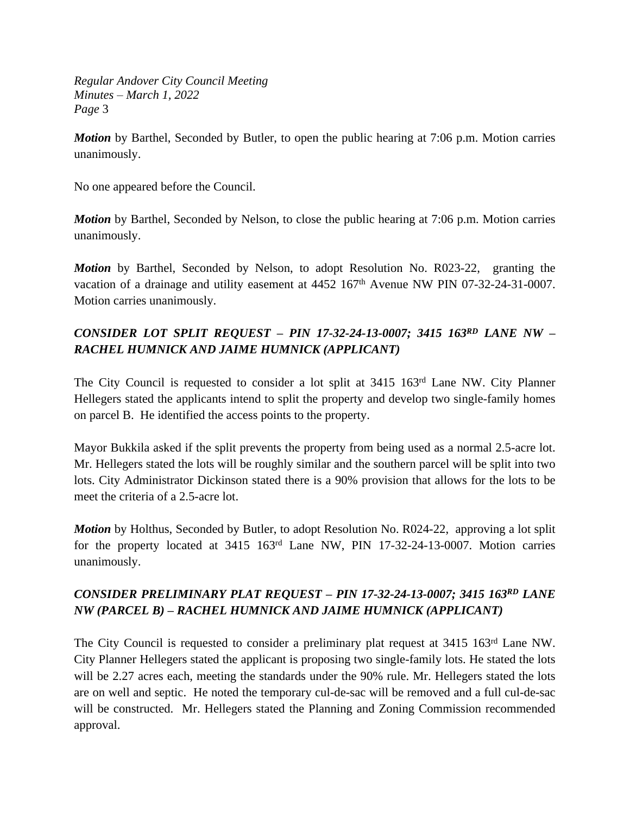*Motion* by Barthel, Seconded by Butler, to open the public hearing at 7:06 p.m. Motion carries unanimously.

No one appeared before the Council.

*Motion* by Barthel, Seconded by Nelson, to close the public hearing at 7:06 p.m. Motion carries unanimously.

*Motion* by Barthel, Seconded by Nelson, to adopt Resolution No. R023-22, granting the vacation of a drainage and utility easement at 4452 167<sup>th</sup> Avenue NW PIN 07-32-24-31-0007. Motion carries unanimously.

# *CONSIDER LOT SPLIT REQUEST – PIN 17-32-24-13-0007; 3415 163RD LANE NW – RACHEL HUMNICK AND JAIME HUMNICK (APPLICANT)*

The City Council is requested to consider a lot split at 3415 163rd Lane NW. City Planner Hellegers stated the applicants intend to split the property and develop two single-family homes on parcel B. He identified the access points to the property.

Mayor Bukkila asked if the split prevents the property from being used as a normal 2.5-acre lot. Mr. Hellegers stated the lots will be roughly similar and the southern parcel will be split into two lots. City Administrator Dickinson stated there is a 90% provision that allows for the lots to be meet the criteria of a 2.5-acre lot.

*Motion* by Holthus, Seconded by Butler, to adopt Resolution No. R024-22, approving a lot split for the property located at 3415 163rd Lane NW, PIN 17-32-24-13-0007. Motion carries unanimously.

### *CONSIDER PRELIMINARY PLAT REQUEST – PIN 17-32-24-13-0007; 3415 163RD LANE NW (PARCEL B) – RACHEL HUMNICK AND JAIME HUMNICK (APPLICANT)*

The City Council is requested to consider a preliminary plat request at 3415 163<sup>rd</sup> Lane NW. City Planner Hellegers stated the applicant is proposing two single-family lots. He stated the lots will be 2.27 acres each, meeting the standards under the 90% rule. Mr. Hellegers stated the lots are on well and septic. He noted the temporary cul-de-sac will be removed and a full cul-de-sac will be constructed. Mr. Hellegers stated the Planning and Zoning Commission recommended approval.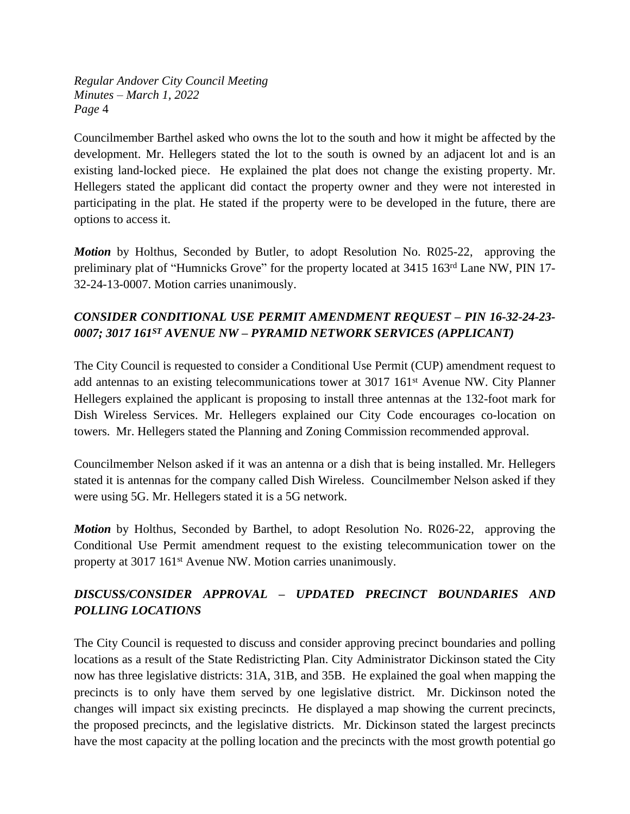Councilmember Barthel asked who owns the lot to the south and how it might be affected by the development. Mr. Hellegers stated the lot to the south is owned by an adjacent lot and is an existing land-locked piece. He explained the plat does not change the existing property. Mr. Hellegers stated the applicant did contact the property owner and they were not interested in participating in the plat. He stated if the property were to be developed in the future, there are options to access it.

*Motion* by Holthus, Seconded by Butler, to adopt Resolution No. R025-22, approving the preliminary plat of "Humnicks Grove" for the property located at 3415 163rd Lane NW, PIN 17- 32-24-13-0007. Motion carries unanimously.

# *CONSIDER CONDITIONAL USE PERMIT AMENDMENT REQUEST – PIN 16-32-24-23- 0007; 3017 161ST AVENUE NW – PYRAMID NETWORK SERVICES (APPLICANT)*

The City Council is requested to consider a Conditional Use Permit (CUP) amendment request to add antennas to an existing telecommunications tower at 3017 161st Avenue NW. City Planner Hellegers explained the applicant is proposing to install three antennas at the 132-foot mark for Dish Wireless Services. Mr. Hellegers explained our City Code encourages co-location on towers. Mr. Hellegers stated the Planning and Zoning Commission recommended approval.

Councilmember Nelson asked if it was an antenna or a dish that is being installed. Mr. Hellegers stated it is antennas for the company called Dish Wireless. Councilmember Nelson asked if they were using 5G. Mr. Hellegers stated it is a 5G network.

*Motion* by Holthus, Seconded by Barthel, to adopt Resolution No. R026-22, approving the Conditional Use Permit amendment request to the existing telecommunication tower on the property at 3017 161<sup>st</sup> Avenue NW. Motion carries unanimously.

# *DISCUSS/CONSIDER APPROVAL – UPDATED PRECINCT BOUNDARIES AND POLLING LOCATIONS*

The City Council is requested to discuss and consider approving precinct boundaries and polling locations as a result of the State Redistricting Plan. City Administrator Dickinson stated the City now has three legislative districts: 31A, 31B, and 35B. He explained the goal when mapping the precincts is to only have them served by one legislative district. Mr. Dickinson noted the changes will impact six existing precincts. He displayed a map showing the current precincts, the proposed precincts, and the legislative districts. Mr. Dickinson stated the largest precincts have the most capacity at the polling location and the precincts with the most growth potential go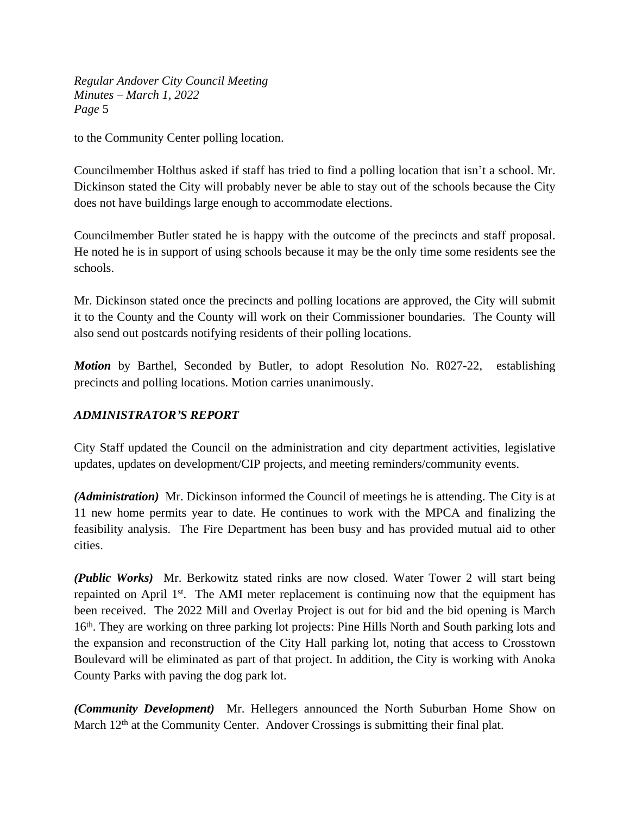to the Community Center polling location.

Councilmember Holthus asked if staff has tried to find a polling location that isn't a school. Mr. Dickinson stated the City will probably never be able to stay out of the schools because the City does not have buildings large enough to accommodate elections.

Councilmember Butler stated he is happy with the outcome of the precincts and staff proposal. He noted he is in support of using schools because it may be the only time some residents see the schools.

Mr. Dickinson stated once the precincts and polling locations are approved, the City will submit it to the County and the County will work on their Commissioner boundaries. The County will also send out postcards notifying residents of their polling locations.

*Motion* by Barthel, Seconded by Butler, to adopt Resolution No. R027-22, establishing precincts and polling locations. Motion carries unanimously.

### *ADMINISTRATOR'S REPORT*

City Staff updated the Council on the administration and city department activities, legislative updates, updates on development/CIP projects, and meeting reminders/community events.

*(Administration)* Mr. Dickinson informed the Council of meetings he is attending. The City is at 11 new home permits year to date. He continues to work with the MPCA and finalizing the feasibility analysis. The Fire Department has been busy and has provided mutual aid to other cities.

*(Public Works)* Mr. Berkowitz stated rinks are now closed. Water Tower 2 will start being repainted on April 1<sup>st</sup>. The AMI meter replacement is continuing now that the equipment has been received. The 2022 Mill and Overlay Project is out for bid and the bid opening is March 16<sup>th</sup>. They are working on three parking lot projects: Pine Hills North and South parking lots and the expansion and reconstruction of the City Hall parking lot, noting that access to Crosstown Boulevard will be eliminated as part of that project. In addition, the City is working with Anoka County Parks with paving the dog park lot.

*(Community Development)* Mr. Hellegers announced the North Suburban Home Show on March 12<sup>th</sup> at the Community Center. Andover Crossings is submitting their final plat.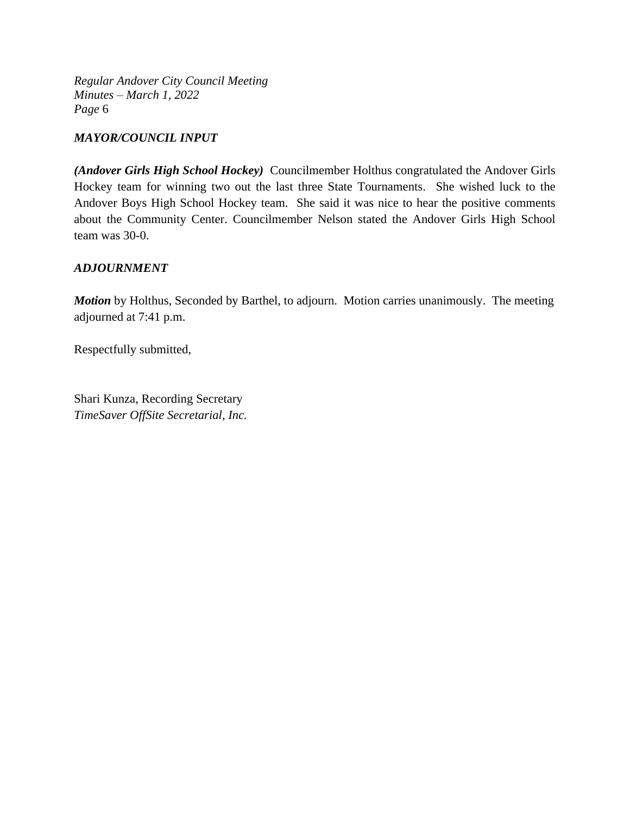### *MAYOR/COUNCIL INPUT*

*(Andover Girls High School Hockey)* Councilmember Holthus congratulated the Andover Girls Hockey team for winning two out the last three State Tournaments. She wished luck to the Andover Boys High School Hockey team. She said it was nice to hear the positive comments about the Community Center. Councilmember Nelson stated the Andover Girls High School team was 30-0.

### *ADJOURNMENT*

*Motion* by Holthus, Seconded by Barthel, to adjourn. Motion carries unanimously. The meeting adjourned at 7:41 p.m.

Respectfully submitted,

Shari Kunza, Recording Secretary *TimeSaver OffSite Secretarial, Inc.*